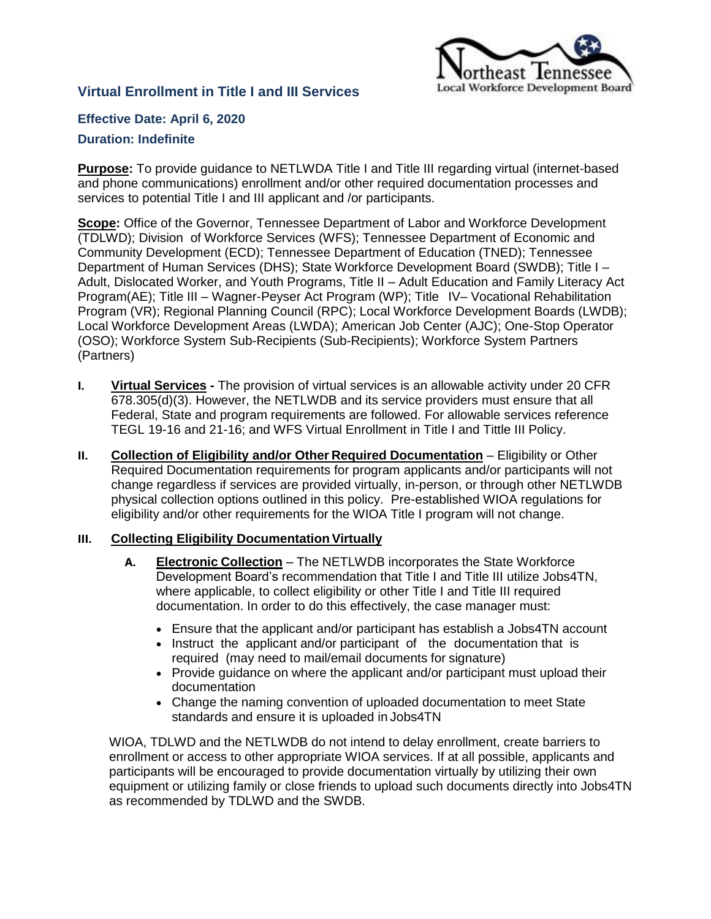

# **Virtual Enrollment in Title I and III Services**

**Effective Date: April 6, 2020**

## **Duration: Indefinite**

**Purpose:** To provide guidance to NETLWDA Title I and Title III regarding virtual (internet-based and phone communications) enrollment and/or other required documentation processes and services to potential Title I and III applicant and /or participants.

**Scope:** Office of the Governor, Tennessee Department of Labor and Workforce Development (TDLWD); Division of Workforce Services (WFS); Tennessee Department of Economic and Community Development (ECD); Tennessee Department of Education (TNED); Tennessee Department of Human Services (DHS); State Workforce Development Board (SWDB); Title I – Adult, Dislocated Worker, and Youth Programs, Title II – Adult Education and Family Literacy Act Program(AE); Title III – Wagner-Peyser Act Program (WP); Title IV– Vocational Rehabilitation Program (VR); Regional Planning Council (RPC); Local Workforce Development Boards (LWDB); Local Workforce Development Areas (LWDA); American Job Center (AJC); One-Stop Operator (OSO); Workforce System Sub-Recipients (Sub-Recipients); Workforce System Partners (Partners)

- **I. Virtual Services -** The provision of virtual services is an allowable activity under 20 CFR 678.305(d)(3). However, the NETLWDB and its service providers must ensure that all Federal, State and program requirements are followed. For allowable services reference TEGL 19-16 and 21-16; and WFS Virtual Enrollment in Title I and Tittle III Policy.
- **II. Collection of Eligibility and/or Other Required Documentation** Eligibility or Other Required Documentation requirements for program applicants and/or participants will not change regardless if services are provided virtually, in-person, or through other NETLWDB physical collection options outlined in this policy. Pre-established WIOA regulations for eligibility and/or other requirements for the WIOA Title I program will not change.

## **III. Collecting Eligibility Documentation Virtually**

- **A. Electronic Collection** The NETLWDB incorporates the State Workforce Development Board's recommendation that Title I and Title III utilize Jobs4TN, where applicable, to collect eligibility or other Title I and Title III required documentation. In order to do this effectively, the case manager must:
	- Ensure that the applicant and/or participant has establish a Jobs4TN account
	- Instruct the applicant and/or participant of the documentation that is required (may need to mail/email documents for signature)
	- Provide guidance on where the applicant and/or participant must upload their documentation
	- Change the naming convention of uploaded documentation to meet State standards and ensure it is uploaded in Jobs4TN

WIOA, TDLWD and the NETLWDB do not intend to delay enrollment, create barriers to enrollment or access to other appropriate WIOA services. If at all possible, applicants and participants will be encouraged to provide documentation virtually by utilizing their own equipment or utilizing family or close friends to upload such documents directly into Jobs4TN as recommended by TDLWD and the SWDB.